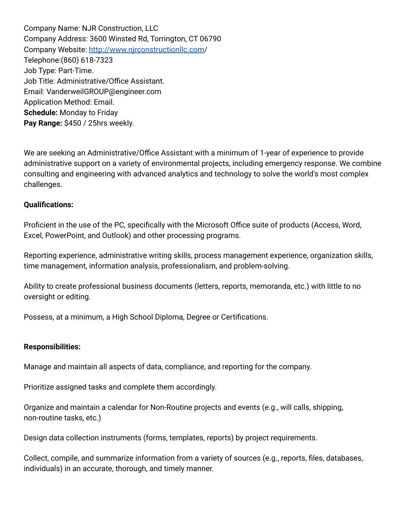Company Name: NJR Construction, LLC Company Address: 3600 Winsted Rd, Torrington, CT 06790 Company Website: [http://www.njrconstructionllc.com](https://nam02.safelinks.protection.outlook.com/?url=http%3A%2F%2Fwww.njrconstructionllc.com%2F&data=04%7C01%7CJFiorello%40nwcc.commnet.edu%7Cb103ddfde1074cf0266f08da10febbd4%7C679df878277a496aac8dd99e58606dd9%7C0%7C0%7C637840983497812136%7CUnknown%7CTWFpbGZsb3d8eyJWIjoiMC4wLjAwMDAiLCJQIjoiV2luMzIiLCJBTiI6Ik1haWwiLCJXVCI6Mn0%3D%7C3000&sdata=v3ZxChvXRnjk5L9MYpQpyop1WsbCcvWdgKTInF9KKRU%3D&reserved=0)/ Telephone:(860) 618-7323 Job Type: Part-Time. Job Title: Administrative/Office Assistant. Email: VanderweilGROUP@engineer.com Application Method: Email. **Schedule:** Monday to Friday **Pay Range:** \$450 / 25hrs weekly.

We are seeking an Administrative/Office Assistant with a minimum of 1-year of experience to provide administrative support on a variety of environmental projects, including emergency response. We combine consulting and engineering with advanced analytics and technology to solve the world's most complex challenges.

## **Qualifications:**

Proficient in the use of the PC, specifically with the Microsoft Office suite of products (Access, Word, Excel, PowerPoint, and Outlook) and other processing programs.

Reporting experience, administrative writing skills, process management experience, organization skills, time management, information analysis, professionalism, and problem-solving.

Ability to create professional business documents (letters, reports, memoranda, etc.) with little to no oversight or editing.

Possess, at a minimum, a High School Diploma, Degree or Certifications.

## **Responsibilities:**

Manage and maintain all aspects of data, compliance, and reporting for the company.

Prioritize assigned tasks and complete them accordingly.

Organize and maintain a calendar for Non-Routine projects and events (e.g., will calls, shipping, non-routine tasks, etc.)

Design data collection instruments (forms, templates, reports) by project requirements.

Collect, compile, and summarize information from a variety of sources (e.g., reports, files, databases, individuals) in an accurate, thorough, and timely manner.